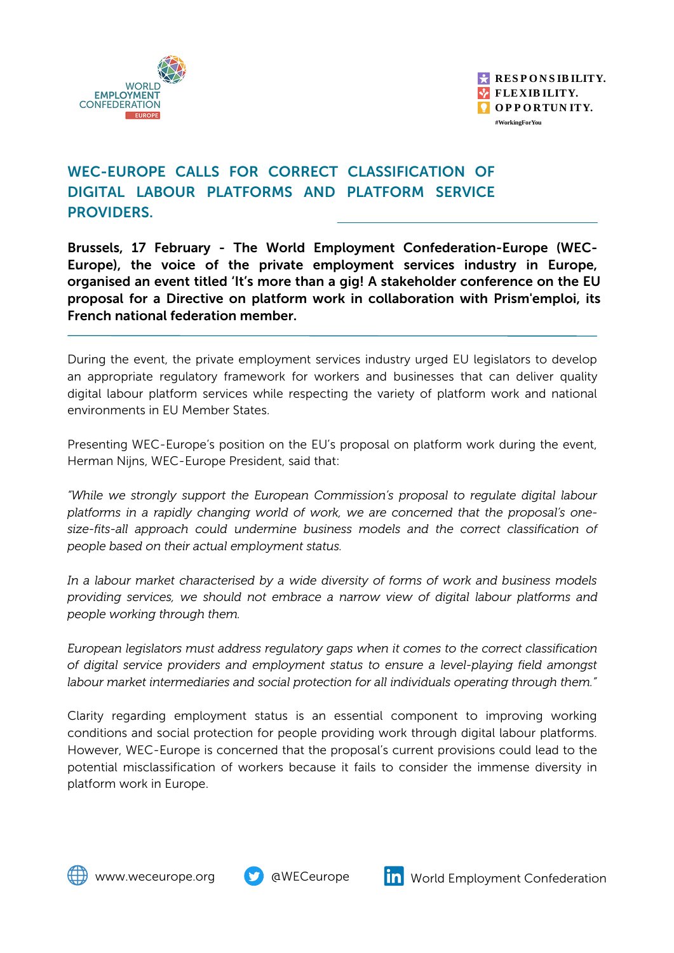



## WEC-EUROPE CALLS FOR CORRECT CLASSIFICATION OF DIGITAL LABOUR PLATFORMS AND PLATFORM SERVICE PROVIDERS.

Brussels, 17 February - The World Employment Confederation-Europe (WEC-Europe), the voice of the private employment services industry in Europe, organised an event titled 'It's more than a gig! A stakeholder conference on the EU proposal for a Directive on platform work in collaboration with Prism'emploi, its French national federation member.

During the event, the private employment services industry urged EU legislators to develop an appropriate regulatory framework for workers and businesses that can deliver quality digital labour platform services while respecting the variety of platform work and national environments in EU Member States.

Presenting WEC-Europe's position on the EU's proposal on platform work during the event, Herman Nijns, WEC-Europe President, said that:

*"While we strongly support the European Commission's proposal to regulate digital labour platforms in a rapidly changing world of work, we are concerned that the proposal's onesize-fits-all approach could undermine business models and the correct classification of people based on their actual employment status.*

*In a labour market characterised by a wide diversity of forms of work and business models providing services, we should not embrace a narrow view of digital labour platforms and people working through them.*

*European legislators must address regulatory gaps when it comes to the correct classification of digital service providers and employment status to ensure a level-playing field amongst labour market intermediaries and social protection for all individuals operating through them."*

Clarity regarding employment status is an essential component to improving working conditions and social protection for people providing work through digital labour platforms. However, WEC-Europe is concerned that the proposal's current provisions could lead to the potential misclassification of workers because it fails to consider the immense diversity in platform work in Europe.